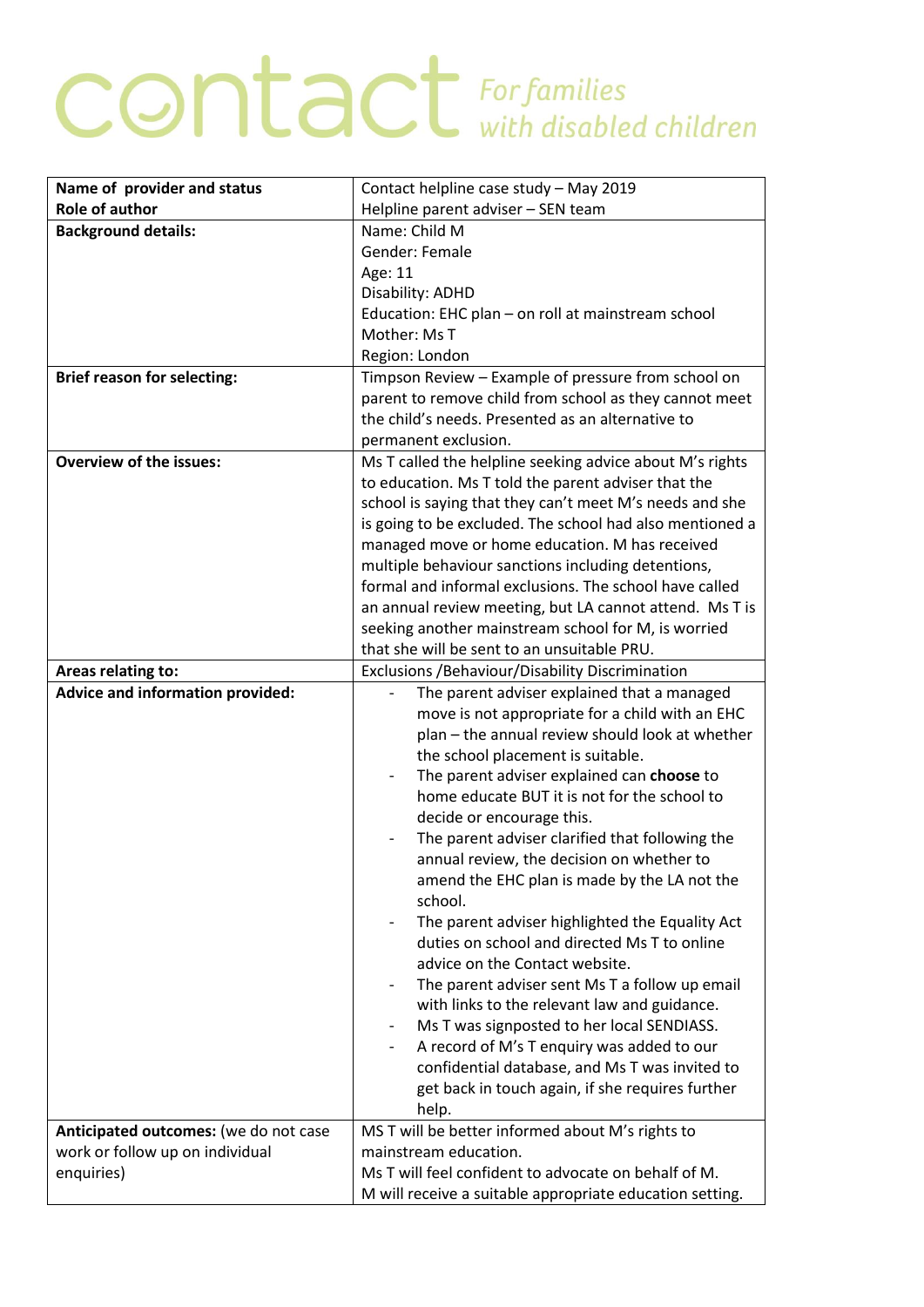## **CONTACT** For families

| Name of provider and status             | Contact helpline case study - May 2019                                                     |
|-----------------------------------------|--------------------------------------------------------------------------------------------|
| <b>Role of author</b>                   | Helpline parent adviser - SEN team                                                         |
| <b>Background details:</b>              | Name: Child M                                                                              |
|                                         | Gender: Female                                                                             |
|                                         | Age: 11                                                                                    |
|                                         | Disability: ADHD                                                                           |
|                                         | Education: EHC plan - on roll at mainstream school                                         |
|                                         | Mother: Ms T                                                                               |
|                                         | Region: London                                                                             |
| <b>Brief reason for selecting:</b>      | Timpson Review - Example of pressure from school on                                        |
|                                         | parent to remove child from school as they cannot meet                                     |
|                                         | the child's needs. Presented as an alternative to                                          |
|                                         | permanent exclusion.                                                                       |
| <b>Overview of the issues:</b>          | Ms T called the helpline seeking advice about M's rights                                   |
|                                         | to education. Ms T told the parent adviser that the                                        |
|                                         | school is saying that they can't meet M's needs and she                                    |
|                                         | is going to be excluded. The school had also mentioned a                                   |
|                                         | managed move or home education. M has received                                             |
|                                         | multiple behaviour sanctions including detentions,                                         |
|                                         | formal and informal exclusions. The school have called                                     |
|                                         | an annual review meeting, but LA cannot attend. Ms T is                                    |
|                                         | seeking another mainstream school for M, is worried                                        |
|                                         | that she will be sent to an unsuitable PRU.                                                |
| Areas relating to:                      | Exclusions / Behaviour/ Disability Discrimination                                          |
| <b>Advice and information provided:</b> | The parent adviser explained that a managed                                                |
|                                         | move is not appropriate for a child with an EHC                                            |
|                                         | plan – the annual review should look at whether                                            |
|                                         | the school placement is suitable.                                                          |
|                                         | The parent adviser explained can choose to<br>home educate BUT it is not for the school to |
|                                         |                                                                                            |
|                                         | decide or encourage this.<br>The parent adviser clarified that following the               |
|                                         | annual review, the decision on whether to                                                  |
|                                         | amend the EHC plan is made by the LA not the                                               |
|                                         | school.                                                                                    |
|                                         | The parent adviser highlighted the Equality Act                                            |
|                                         | duties on school and directed Ms T to online                                               |
|                                         | advice on the Contact website.                                                             |
|                                         | The parent adviser sent Ms T a follow up email                                             |
|                                         | with links to the relevant law and guidance.                                               |
|                                         | Ms T was signposted to her local SENDIASS.<br>$\overline{\phantom{a}}$                     |
|                                         | A record of M's T enquiry was added to our                                                 |
|                                         | confidential database, and Ms T was invited to                                             |
|                                         | get back in touch again, if she requires further                                           |
|                                         | help.                                                                                      |
| Anticipated outcomes: (we do not case   | MS T will be better informed about M's rights to                                           |
| work or follow up on individual         | mainstream education.                                                                      |
| enquiries)                              | Ms T will feel confident to advocate on behalf of M.                                       |
|                                         | M will receive a suitable appropriate education setting.                                   |